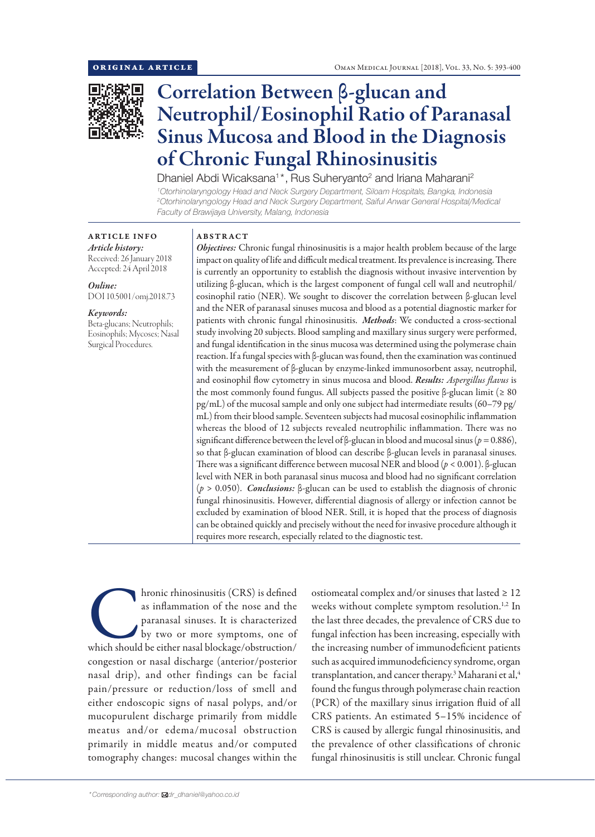

# Correlation Between β-glucan and Neutrophil/Eosinophil Ratio of Paranasal Sinus Mucosa and Blood in the Diagnosis of Chronic Fungal Rhinosinusitis

Dhaniel Abdi Wicaksana<sup>1\*</sup>, Rus Suheryanto<sup>2</sup> and Iriana Maharani<sup>2</sup>

*1 Otorhinolaryngology Head and Neck Surgery Department, Siloam Hospitals, Bangka, Indonesia 2 Otorhinolaryngology Head and Neck Surgery Department, Saiful Anwar General Hospital/Medical Faculty of Brawijaya University, Malang, Indonesia*

## ARTICLE INFO *Article history:*

Received: 26 January 2018 Accepted: 24 April 2018

*Online:* DOI 10.5001/omj.2018.73

## *Keywords:*

Beta-glucans; Neutrophils; Eosinophils; Mycoses; Nasal Surgical Procedures.

## ABSTRACT

*Objectives:* Chronic fungal rhinosinusitis is a major health problem because of the large impact on quality of life and difficult medical treatment. Its prevalence is increasing. There is currently an opportunity to establish the diagnosis without invasive intervention by utilizing β-glucan, which is the largest component of fungal cell wall and neutrophil/ eosinophil ratio (NER). We sought to discover the correlation between β-glucan level and the NER of paranasal sinuses mucosa and blood as a potential diagnostic marker for patients with chronic fungal rhinosinusitis. *Methods*: We conducted a cross-sectional study involving 20 subjects. Blood sampling and maxillary sinus surgery were performed, and fungal identification in the sinus mucosa was determined using the polymerase chain reaction. If a fungal species with β-glucan was found, then the examination was continued with the measurement of β-glucan by enzyme-linked immunosorbent assay, neutrophil, and eosinophil flow cytometry in sinus mucosa and blood. *Results: Aspergillus flavus* is the most commonly found fungus. All subjects passed the positive β-glucan limit ( $≥ 80$ pg/mL) of the mucosal sample and only one subject had intermediate results (60–79 pg/ mL) from their blood sample. Seventeen subjects had mucosal eosinophilic inflammation whereas the blood of 12 subjects revealed neutrophilic inflammation. There was no significant difference between the level of β-glucan in blood and mucosal sinus (*p =* 0.886), so that β-glucan examination of blood can describe β-glucan levels in paranasal sinuses. There was a significant difference between mucosal NER and blood (*p* < 0.001). β-glucan level with NER in both paranasal sinus mucosa and blood had no significant correlation (*p* > 0.050). *Conclusions:* β-glucan can be used to establish the diagnosis of chronic fungal rhinosinusitis. However, differential diagnosis of allergy or infection cannot be excluded by examination of blood NER. Still, it is hoped that the process of diagnosis can be obtained quickly and precisely without the need for invasive procedure although it requires more research, especially related to the diagnostic test.

hronic rhinosinusitis (CRS) is defined<br>as inflammation of the nose and the<br>paranasal sinuses. It is characterized<br>by two or more symptoms, one of<br>which should be either nasal blockage/obstruction/ as inflammation of the nose and the paranasal sinuses. It is characterized by two or more symptoms, one of congestion or nasal discharge (anterior/posterior nasal drip), and other findings can be facial pain/pressure or reduction/loss of smell and either endoscopic signs of nasal polyps, and/or mucopurulent discharge primarily from middle meatus and/or edema/mucosal obstruction primarily in middle meatus and/or computed tomography changes: mucosal changes within the

ostiomeatal complex and/or sinuses that lasted  $\geq 12$ weeks without complete symptom resolution.<sup>1,2</sup> In the last three decades, the prevalence of CRS due to fungal infection has been increasing, especially with the increasing number of immunodeficient patients such as acquired immunodeficiency syndrome, organ transplantation, and cancer therapy. $^3$  Maharani et al, $^4$ found the fungus through polymerase chain reaction (PCR) of the maxillary sinus irrigation fluid of all CRS patients. An estimated 5–15% incidence of CRS is caused by allergic fungal rhinosinusitis, and the prevalence of other classifications of chronic fungal rhinosinusitis is still unclear. Chronic fungal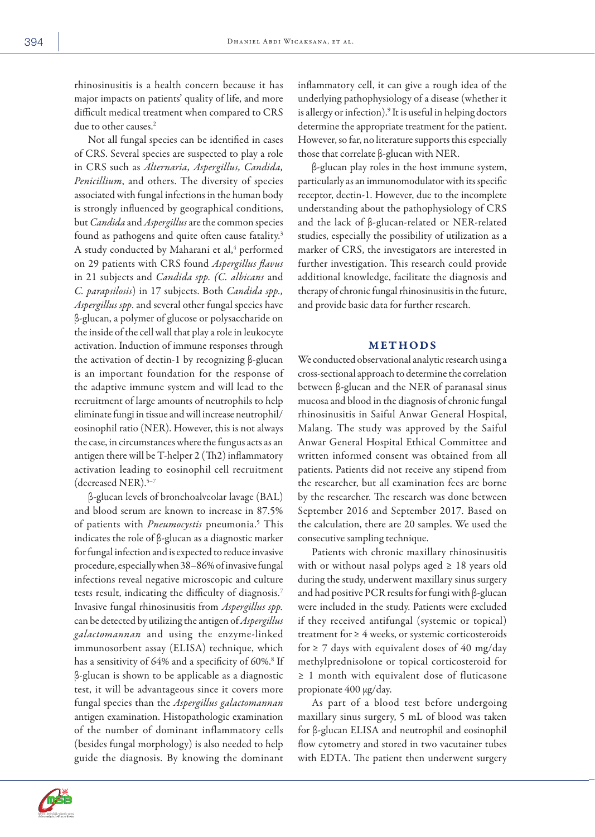rhinosinusitis is a health concern because it has major impacts on patients' quality of life, and more difficult medical treatment when compared to CRS due to other causes.<sup>2</sup>

Not all fungal species can be identified in cases of CRS. Several species are suspected to play a role in CRS such as *Alternaria, Aspergillus, Candida, Penicillium*, and others. The diversity of species associated with fungal infections in the human body is strongly influenced by geographical conditions, but *Candida* and *Aspergillus* are the common species found as pathogens and quite often cause fatality.<sup>3</sup> A study conducted by Maharani et al,<sup>4</sup> performed on 29 patients with CRS found *Aspergillus flavus* in 21 subjects and *Candida spp. (C. albicans* and *C. parapsilosis*) in 17 subjects. Both *Candida spp., Aspergillus spp*. and several other fungal species have β-glucan, a polymer of glucose or polysaccharide on the inside of the cell wall that play a role in leukocyte activation. Induction of immune responses through the activation of dectin-1 by recognizing β-glucan is an important foundation for the response of the adaptive immune system and will lead to the recruitment of large amounts of neutrophils to help eliminate fungi in tissue and will increase neutrophil/ eosinophil ratio (NER). However, this is not always the case, in circumstances where the fungus acts as an antigen there will be T-helper 2 (Th2) inflammatory activation leading to eosinophil cell recruitment (decreased NER).<sup>5-7</sup>

β-glucan levels of bronchoalveolar lavage (BAL) and blood serum are known to increase in 87.5% of patients with *Pneumocystis* pneumonia.5 This indicates the role of β-glucan as a diagnostic marker for fungal infection and is expected to reduce invasive procedure, especially when 38–86% of invasive fungal infections reveal negative microscopic and culture tests result, indicating the difficulty of diagnosis.7 Invasive fungal rhinosinusitis from *Aspergillus spp.* can be detected by utilizing the antigen of *Aspergillus galactomannan* and using the enzyme-linked immunosorbent assay (ELISA) technique, which has a sensitivity of 64% and a specificity of 60%.<sup>8</sup> If β-glucan is shown to be applicable as a diagnostic test, it will be advantageous since it covers more fungal species than the *Aspergillus galactomannan* antigen examination. Histopathologic examination of the number of dominant inflammatory cells (besides fungal morphology) is also needed to help guide the diagnosis. By knowing the dominant

inflammatory cell, it can give a rough idea of the underlying pathophysiology of a disease (whether it is allergy or infection).9 It is useful in helping doctors determine the appropriate treatment for the patient. However, so far, no literature supports this especially those that correlate β-glucan with NER.

β-glucan play roles in the host immune system, particularly as an immunomodulator with its specific receptor, dectin-1. However, due to the incomplete understanding about the pathophysiology of CRS and the lack of β-glucan-related or NER-related studies, especially the possibility of utilization as a marker of CRS, the investigators are interested in further investigation. This research could provide additional knowledge, facilitate the diagnosis and therapy of chronic fungal rhinosinusitis in the future, and provide basic data for further research.

## METHODS

We conducted observational analytic research using a cross-sectional approach to determine the correlation between β-glucan and the NER of paranasal sinus mucosa and blood in the diagnosis of chronic fungal rhinosinusitis in Saiful Anwar General Hospital, Malang. The study was approved by the Saiful Anwar General Hospital Ethical Committee and written informed consent was obtained from all patients. Patients did not receive any stipend from the researcher, but all examination fees are borne by the researcher. The research was done between September 2016 and September 2017. Based on the calculation, there are 20 samples. We used the consecutive sampling technique.

Patients with chronic maxillary rhinosinusitis with or without nasal polyps aged  $\geq 18$  years old during the study, underwent maxillary sinus surgery and had positive PCR results for fungi with β-glucan were included in the study. Patients were excluded if they received antifungal (systemic or topical) treatment for≥ 4 weeks, or systemic corticosteroids for  $\geq$  7 days with equivalent doses of 40 mg/day methylprednisolone or topical corticosteroid for ≥ 1 month with equivalent dose of fluticasone propionate 400 µg/day.

As part of a blood test before undergoing maxillary sinus surgery, 5 mL of blood was taken for β-glucan ELISA and neutrophil and eosinophil flow cytometry and stored in two vacutainer tubes with EDTA. The patient then underwent surgery

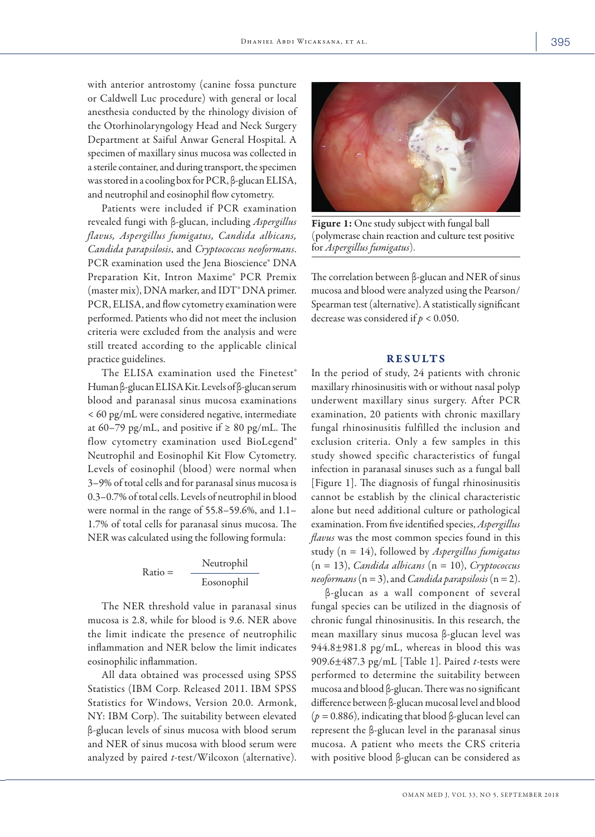with anterior antrostomy (canine fossa puncture or Caldwell Luc procedure) with general or local anesthesia conducted by the rhinology division of the Otorhinolaryngology Head and Neck Surgery Department at Saiful Anwar General Hospital. A specimen of maxillary sinus mucosa was collected in a sterile container, and during transport, the specimen was stored in a cooling box for PCR, β-glucan ELISA, and neutrophil and eosinophil flow cytometry.

Patients were included if PCR examination revealed fungi with β-glucan, including *Aspergillus flavus, Aspergillus fumigatus, Candida albicans, Candida parapsilosis*, and *Cryptococcus neoformans*. PCR examination used the Jena Bioscience® DNA Preparation Kit, Intron Maxime® PCR Premix (master mix), DNA marker, and IDT<sup>®</sup> DNA primer. PCR, ELISA, and flow cytometry examination were performed. Patients who did not meet the inclusion criteria were excluded from the analysis and were still treated according to the applicable clinical practice guidelines.

The ELISA examination used the Finetest® Human β-glucan ELISA Kit. Levels of β-glucan serum blood and paranasal sinus mucosa examinations < 60 pg/mL were considered negative, intermediate at 60–79 pg/mL, and positive if  $\geq 80$  pg/mL. The flow cytometry examination used BioLegend® Neutrophil and Eosinophil Kit Flow Cytometry. Levels of eosinophil (blood) were normal when 3–9% of total cells and for paranasal sinus mucosa is 0.3–0.7% of total cells. Levels of neutrophil in blood were normal in the range of 55.8–59.6%, and 1.1– 1.7% of total cells for paranasal sinus mucosa. The NER was calculated using the following formula:

$$
Ratio = \frac{Neutrophil}{Eosonophil}
$$

The NER threshold value in paranasal sinus mucosa is 2.8, while for blood is 9.6. NER above the limit indicate the presence of neutrophilic inflammation and NER below the limit indicates eosinophilic inflammation.

All data obtained was processed using SPSS Statistics (IBM Corp. Released 2011. IBM SPSS Statistics for Windows, Version 20.0. Armonk, NY: IBM Corp). The suitability between elevated β-glucan levels of sinus mucosa with blood serum and NER of sinus mucosa with blood serum were analyzed by paired *t*-test/Wilcoxon (alternative).



Figure 1: One study subject with fungal ball (polymerase chain reaction and culture test positive for *Aspergillus fumigatus*).

The correlation between β-glucan and NER of sinus mucosa and blood were analyzed using the Pearson/ Spearman test (alternative). A statistically significant decrease was considered if *p* < 0.050.

### RESULTS

In the period of study, 24 patients with chronic maxillary rhinosinusitis with or without nasal polyp underwent maxillary sinus surgery. After PCR examination, 20 patients with chronic maxillary fungal rhinosinusitis fulfilled the inclusion and exclusion criteria. Only a few samples in this study showed specific characteristics of fungal infection in paranasal sinuses such as a fungal ball [Figure 1]. The diagnosis of fungal rhinosinusitis cannot be establish by the clinical characteristic alone but need additional culture or pathological examination. From five identified species, *Aspergillus flavus* was the most common species found in this study (n = 14), followed by *Aspergillus fumigatus* (n = 13), *Candida albicans* (n = 10), *Cryptococcus neoformans*  $(n = 3)$ , and *Candida parapsilosis*  $(n = 2)$ .

β-glucan as a wall component of several fungal species can be utilized in the diagnosis of chronic fungal rhinosinusitis. In this research, the mean maxillary sinus mucosa β-glucan level was  $944.8 \pm 981.8$  pg/mL, whereas in blood this was 909.6±487.3 pg/mL [Table 1]. Paired *t*-tests were performed to determine the suitability between mucosa and blood β-glucan. There was no significant difference between β-glucan mucosal level and blood (*p =* 0.886), indicating that blood β-glucan level can represent the β-glucan level in the paranasal sinus mucosa. A patient who meets the CRS criteria with positive blood β-glucan can be considered as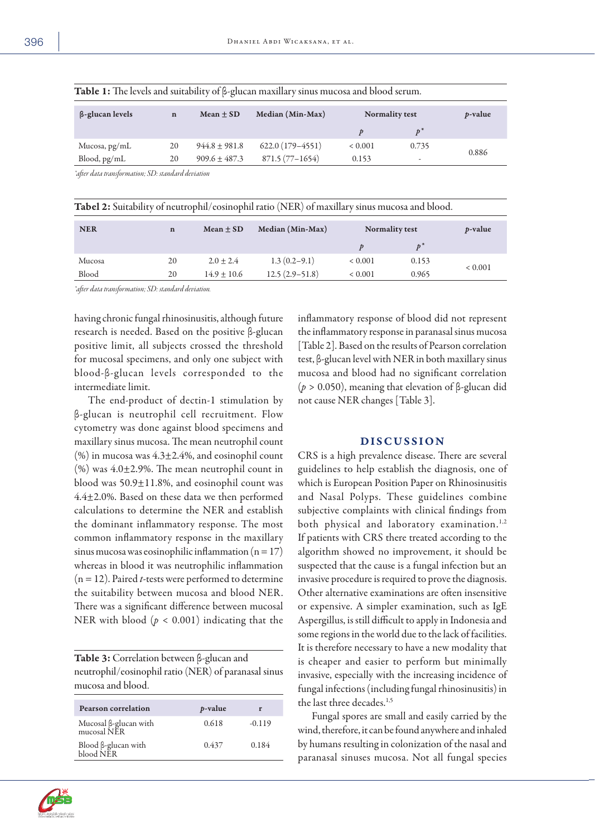| $\beta$ -glucan levels | $\mathbf n$ | Mean $\pm$ SD     | Median (Min-Max)  | <b>Normality test</b> |                          | <i>p</i> -value |  |  |  |
|------------------------|-------------|-------------------|-------------------|-----------------------|--------------------------|-----------------|--|--|--|
|                        |             |                   |                   |                       | $\mathbf{v}^*$           |                 |  |  |  |
| Mucosa, pg/mL          | 20          | $944.8 \pm 981.8$ | $622.0(179-4551)$ | ${}< 0.001$           | 0.735                    | 0.886           |  |  |  |
| Blood, pg/mL           | 20          | $909.6 + 487.3$   | $871.5(77-1654)$  | 0.153                 | $\overline{\phantom{a}}$ |                 |  |  |  |
|                        |             |                   |                   |                       |                          |                 |  |  |  |

Table 1: The levels and suitability of β-glucan maxillary sinus mucosa and blood serum.

*\*after data transformation; SD: standard deviation*

| $\mathbf n$ | Mean $\pm$ SD   | Median (Min-Max) | Normality test |                    | <i>p</i> -value |
|-------------|-----------------|------------------|----------------|--------------------|-----------------|
|             |                 |                  |                | $\boldsymbol{v}^*$ |                 |
| 20          | $2.0 \pm 2.4$   | $1.3(0.2-9.1)$   | ${}< 0.001$    | 0.153              |                 |
| 20          | $14.9 \pm 10.6$ | $12.5(2.9-51.8)$ | ${}< 0.001$    | 0.965              | ${}< 0.001$     |
|             |                 |                  |                |                    |                 |

*\*after data transformation; SD: standard deviation.*

having chronic fungal rhinosinusitis, although future research is needed. Based on the positive β-glucan positive limit, all subjects crossed the threshold for mucosal specimens, and only one subject with blood-β-glucan levels corresponded to the intermediate limit.

The end-product of dectin-1 stimulation by β-glucan is neutrophil cell recruitment. Flow cytometry was done against blood specimens and maxillary sinus mucosa. The mean neutrophil count  $(\%)$  in mucosa was 4.3 $\pm$ 2.4%, and eosinophil count  $(\%)$  was 4.0 $\pm$ 2.9%. The mean neutrophil count in blood was 50.9±11.8%, and eosinophil count was 4.4±2.0%. Based on these data we then performed calculations to determine the NER and establish the dominant inflammatory response. The most common inflammatory response in the maxillary sinus mucosa was eosinophilic inflammation ( $n = 17$ ) whereas in blood it was neutrophilic inflammation (n = 12). Paired *t*-tests were performed to determine the suitability between mucosa and blood NER. There was a significant difference between mucosal NER with blood (*p* < 0.001) indicating that the

Table 3: Correlation between β-glucan and neutrophil/eosinophil ratio (NER) of paranasal sinus mucosa and blood.

| <b>Pearson correlation</b>           | <i>p</i> -value | r        |
|--------------------------------------|-----------------|----------|
| Mucosal ß-glucan with<br>mucosal NER | 0.618           | $-0.119$ |
| Blood β-glucan with<br>blood NER     | 0.437           | 0.184    |

inflammatory response of blood did not represent the inflammatory response in paranasal sinus mucosa [Table 2]. Based on the results of Pearson correlation test, β-glucan level with NER in both maxillary sinus mucosa and blood had no significant correlation (*p* > 0.050), meaning that elevation of β-glucan did not cause NER changes [Table 3].

#### DISCUSSION

CRS is a high prevalence disease. There are several guidelines to help establish the diagnosis, one of which is European Position Paper on Rhinosinusitis and Nasal Polyps. These guidelines combine subjective complaints with clinical findings from both physical and laboratory examination.<sup>1,2</sup> If patients with CRS there treated according to the algorithm showed no improvement, it should be suspected that the cause is a fungal infection but an invasive procedure is required to prove the diagnosis. Other alternative examinations are often insensitive or expensive. A simpler examination, such as IgE Aspergillus, is still difficult to apply in Indonesia and some regions in the world due to the lack of facilities. It is therefore necessary to have a new modality that is cheaper and easier to perform but minimally invasive, especially with the increasing incidence of fungal infections (including fungal rhinosinusitis) in the last three decades.<sup>1,5</sup>

Fungal spores are small and easily carried by the wind, therefore, it can be found anywhere and inhaled by humans resulting in colonization of the nasal and paranasal sinuses mucosa. Not all fungal species

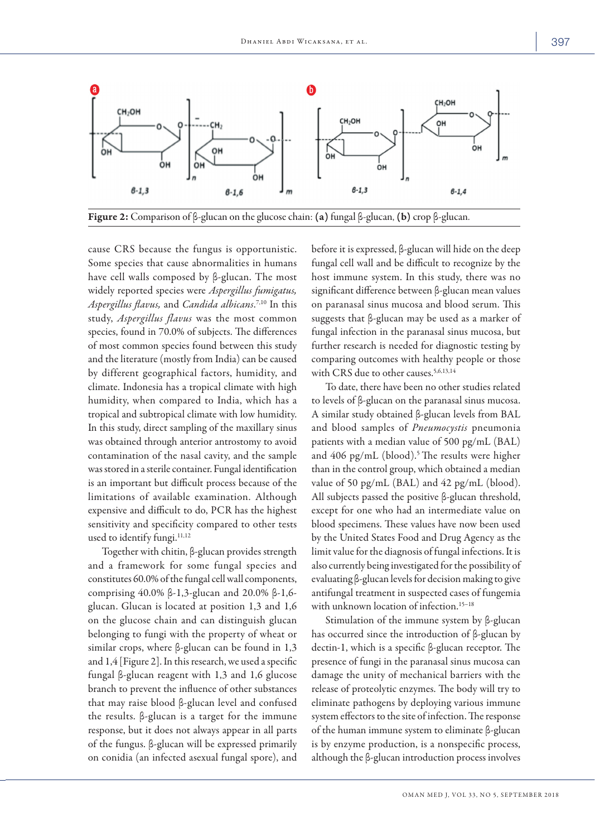

Figure 2: Comparison of β-glucan on the glucose chain: (a) fungal β-glucan, (b) crop β-glucan.

cause CRS because the fungus is opportunistic. Some species that cause abnormalities in humans have cell walls composed by β-glucan. The most widely reported species were *Aspergillus fumigatus, Aspergillus flavus,* and *Candida albicans*. 7,10 In this study, *Aspergillus flavus* was the most common species, found in 70.0% of subjects. The differences of most common species found between this study and the literature (mostly from India) can be caused by different geographical factors, humidity, and climate. Indonesia has a tropical climate with high humidity, when compared to India, which has a tropical and subtropical climate with low humidity. In this study, direct sampling of the maxillary sinus was obtained through anterior antrostomy to avoid contamination of the nasal cavity, and the sample was stored in a sterile container. Fungal identification is an important but difficult process because of the limitations of available examination. Although expensive and difficult to do, PCR has the highest sensitivity and specificity compared to other tests used to identify fungi.<sup>11,12</sup>

Together with chitin, β-glucan provides strength and a framework for some fungal species and constitutes 60.0% of the fungal cell wall components, comprising 40.0% β-1,3-glucan and 20.0% β-1,6 glucan. Glucan is located at position 1,3 and 1,6 on the glucose chain and can distinguish glucan belonging to fungi with the property of wheat or similar crops, where β-glucan can be found in 1,3 and 1,4 [Figure 2]. In this research, we used a specific fungal β-glucan reagent with 1,3 and 1,6 glucose branch to prevent the influence of other substances that may raise blood β-glucan level and confused the results. β-glucan is a target for the immune response, but it does not always appear in all parts of the fungus. β-glucan will be expressed primarily on conidia (an infected asexual fungal spore), and before it is expressed, β-glucan will hide on the deep fungal cell wall and be difficult to recognize by the host immune system. In this study, there was no significant difference between β-glucan mean values on paranasal sinus mucosa and blood serum. This suggests that β-glucan may be used as a marker of fungal infection in the paranasal sinus mucosa, but further research is needed for diagnostic testing by comparing outcomes with healthy people or those with CRS due to other causes.<sup>5,6,13,14</sup>

To date, there have been no other studies related to levels of β-glucan on the paranasal sinus mucosa. A similar study obtained β-glucan levels from BAL and blood samples of *Pneumocystis* pneumonia patients with a median value of 500 pg/mL (BAL) and  $406$  pg/mL (blood).<sup>5</sup> The results were higher than in the control group, which obtained a median value of 50 pg/mL (BAL) and 42 pg/mL (blood). All subjects passed the positive β-glucan threshold, except for one who had an intermediate value on blood specimens. These values have now been used by the United States Food and Drug Agency as the limit value for the diagnosis of fungal infections. It is also currently being investigated for the possibility of evaluating β-glucan levels for decision making to give antifungal treatment in suspected cases of fungemia with unknown location of infection.15–18

Stimulation of the immune system by β-glucan has occurred since the introduction of β-glucan by dectin-1, which is a specific β-glucan receptor. The presence of fungi in the paranasal sinus mucosa can damage the unity of mechanical barriers with the release of proteolytic enzymes. The body will try to eliminate pathogens by deploying various immune system effectors to the site of infection. The response of the human immune system to eliminate β-glucan is by enzyme production, is a nonspecific process, although the β-glucan introduction process involves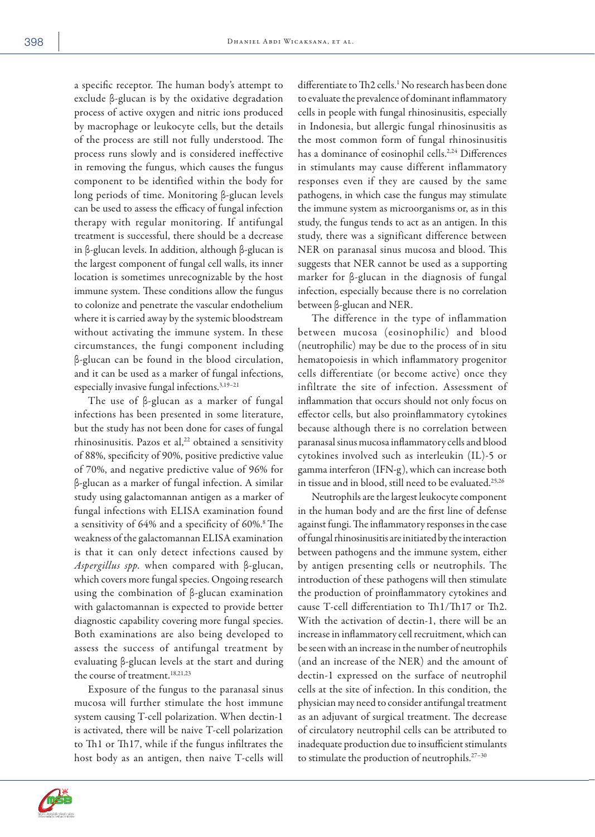a specific receptor. The human body's attempt to exclude β-glucan is by the oxidative degradation process of active oxygen and nitric ions produced by macrophage or leukocyte cells, but the details of the process are still not fully understood. The process runs slowly and is considered ineffective in removing the fungus, which causes the fungus component to be identified within the body for long periods of time. Monitoring β-glucan levels can be used to assess the efficacy of fungal infection therapy with regular monitoring. If antifungal treatment is successful, there should be a decrease in β-glucan levels. In addition, although β-glucan is the largest component of fungal cell walls, its inner location is sometimes unrecognizable by the host immune system. These conditions allow the fungus to colonize and penetrate the vascular endothelium where it is carried away by the systemic bloodstream without activating the immune system. In these circumstances, the fungi component including β-glucan can be found in the blood circulation, and it can be used as a marker of fungal infections, especially invasive fungal infections.<sup>3,19-21</sup>

The use of β-glucan as a marker of fungal infections has been presented in some literature, but the study has not been done for cases of fungal rhinosinusitis. Pazos et al,<sup>22</sup> obtained a sensitivity of 88%, specificity of 90%, positive predictive value of 70%, and negative predictive value of 96% for β-glucan as a marker of fungal infection. A similar study using galactomannan antigen as a marker of fungal infections with ELISA examination found a sensitivity of 64% and a specificity of 60%.8 The weakness of the galactomannan ELISA examination is that it can only detect infections caused by *Aspergillus spp.* when compared with β-glucan, which covers more fungal species. Ongoing research using the combination of β-glucan examination with galactomannan is expected to provide better diagnostic capability covering more fungal species. Both examinations are also being developed to assess the success of antifungal treatment by evaluating β-glucan levels at the start and during the course of treatment.<sup>18,21,23</sup>

Exposure of the fungus to the paranasal sinus mucosa will further stimulate the host immune system causing T-cell polarization. When dectin-1 is activated, there will be naive T-cell polarization to Th1 or Th17, while if the fungus infiltrates the host body as an antigen, then naive T-cells will

differentiate to Th2 cells.1 No research has been done to evaluate the prevalence of dominant inflammatory cells in people with fungal rhinosinusitis, especially in Indonesia, but allergic fungal rhinosinusitis as the most common form of fungal rhinosinusitis has a dominance of eosinophil cells.<sup>2,24</sup> Differences in stimulants may cause different inflammatory responses even if they are caused by the same pathogens, in which case the fungus may stimulate the immune system as microorganisms or, as in this study, the fungus tends to act as an antigen. In this study, there was a significant difference between NER on paranasal sinus mucosa and blood. This suggests that NER cannot be used as a supporting marker for β-glucan in the diagnosis of fungal infection, especially because there is no correlation between β-glucan and NER.

The difference in the type of inflammation between mucosa (eosinophilic) and blood (neutrophilic) may be due to the process of in situ hematopoiesis in which inflammatory progenitor cells differentiate (or become active) once they infiltrate the site of infection. Assessment of inflammation that occurs should not only focus on effector cells, but also proinflammatory cytokines because although there is no correlation between paranasal sinus mucosa inflammatory cells and blood cytokines involved such as interleukin (IL)-5 or gamma interferon (IFN-g), which can increase both in tissue and in blood, still need to be evaluated.<sup>25,26</sup>

Neutrophils are the largest leukocyte component in the human body and are the first line of defense against fungi. The inflammatory responses in the case of fungal rhinosinusitis are initiated by the interaction between pathogens and the immune system, either by antigen presenting cells or neutrophils. The introduction of these pathogens will then stimulate the production of proinflammatory cytokines and cause T-cell differentiation to Th1/Th17 or Th2. With the activation of dectin-1, there will be an increase in inflammatory cell recruitment, which can be seen with an increase in the number of neutrophils (and an increase of the NER) and the amount of dectin-1 expressed on the surface of neutrophil cells at the site of infection. In this condition, the physician may need to consider antifungal treatment as an adjuvant of surgical treatment. The decrease of circulatory neutrophil cells can be attributed to inadequate production due to insufficient stimulants to stimulate the production of neutrophils.<sup>27-30</sup>

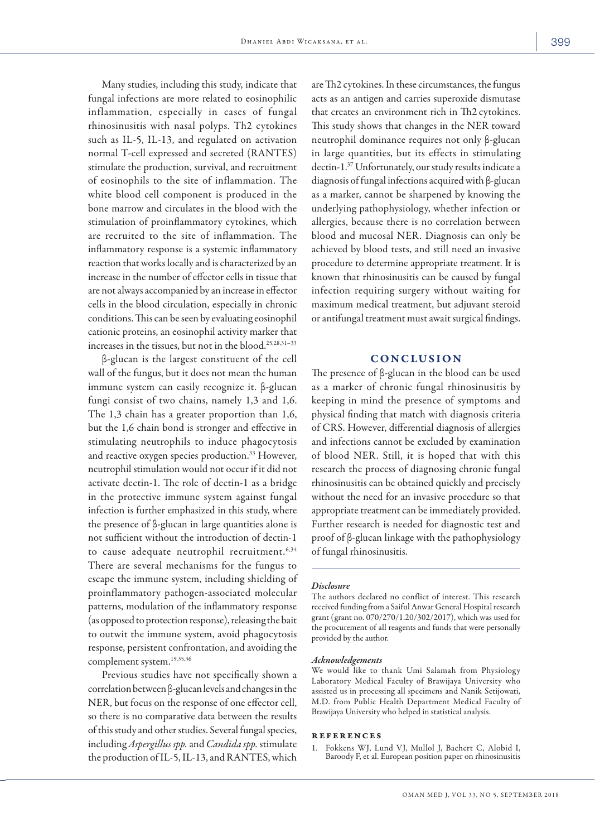Many studies, including this study, indicate that fungal infections are more related to eosinophilic inflammation, especially in cases of fungal rhinosinusitis with nasal polyps. Th2 cytokines such as IL-5, IL-13, and regulated on activation normal T-cell expressed and secreted (RANTES) stimulate the production, survival, and recruitment of eosinophils to the site of inflammation. The white blood cell component is produced in the bone marrow and circulates in the blood with the stimulation of proinflammatory cytokines, which are recruited to the site of inflammation. The inflammatory response is a systemic inflammatory reaction that works locally and is characterized by an increase in the number of effector cells in tissue that are not always accompanied by an increase in effector cells in the blood circulation, especially in chronic conditions. This can be seen by evaluating eosinophil cationic proteins, an eosinophil activity marker that increases in the tissues, but not in the blood.25,28,31–33

β-glucan is the largest constituent of the cell wall of the fungus, but it does not mean the human immune system can easily recognize it. β-glucan fungi consist of two chains, namely 1,3 and 1,6. The 1,3 chain has a greater proportion than 1,6, but the 1,6 chain bond is stronger and effective in stimulating neutrophils to induce phagocytosis and reactive oxygen species production.<sup>33</sup> However, neutrophil stimulation would not occur if it did not activate dectin-1. The role of dectin-1 as a bridge in the protective immune system against fungal infection is further emphasized in this study, where the presence of β-glucan in large quantities alone is not sufficient without the introduction of dectin-1 to cause adequate neutrophil recruitment.<sup>6,34</sup> There are several mechanisms for the fungus to escape the immune system, including shielding of proinflammatory pathogen-associated molecular patterns, modulation of the inflammatory response (as opposed to protection response), releasing the bait to outwit the immune system, avoid phagocytosis response, persistent confrontation, and avoiding the complement system.<sup>19,35,36</sup>

Previous studies have not specifically shown a correlation between β-glucan levels and changes in the NER, but focus on the response of one effector cell, so there is no comparative data between the results of this study and other studies. Several fungal species, including *Aspergillus spp.* and *Candida spp.* stimulate the production of IL-5, IL-13, and RANTES, which are Th2 cytokines. In these circumstances, the fungus acts as an antigen and carries superoxide dismutase that creates an environment rich in Th2 cytokines. This study shows that changes in the NER toward neutrophil dominance requires not only β-glucan in large quantities, but its effects in stimulating dectin-1.37 Unfortunately, our study results indicate a diagnosis of fungal infections acquired with β-glucan as a marker, cannot be sharpened by knowing the underlying pathophysiology, whether infection or allergies, because there is no correlation between blood and mucosal NER. Diagnosis can only be achieved by blood tests, and still need an invasive procedure to determine appropriate treatment. It is known that rhinosinusitis can be caused by fungal infection requiring surgery without waiting for maximum medical treatment, but adjuvant steroid or antifungal treatment must await surgical findings.

## CONCLUSION

The presence of β-glucan in the blood can be used as a marker of chronic fungal rhinosinusitis by keeping in mind the presence of symptoms and physical finding that match with diagnosis criteria of CRS. However, differential diagnosis of allergies and infections cannot be excluded by examination of blood NER. Still, it is hoped that with this research the process of diagnosing chronic fungal rhinosinusitis can be obtained quickly and precisely without the need for an invasive procedure so that appropriate treatment can be immediately provided. Further research is needed for diagnostic test and proof of β-glucan linkage with the pathophysiology of fungal rhinosinusitis.

#### *Disclosure*

The authors declared no conflict of interest. This research received funding from a Saiful Anwar General Hospital research grant (grant no. 070/270/1.20/302/2017), which was used for the procurement of all reagents and funds that were personally provided by the author.

#### *Acknowledgements*

We would like to thank Umi Salamah from Physiology Laboratory Medical Faculty of Brawijaya University who assisted us in processing all specimens and Nanik Setijowati, M.D. from Public Health Department Medical Faculty of Brawijaya University who helped in statistical analysis.

#### references

1. Fokkens WJ, Lund VJ, Mullol J, Bachert C, Alobid I, Baroody F, et al. European position paper on rhinosinusitis